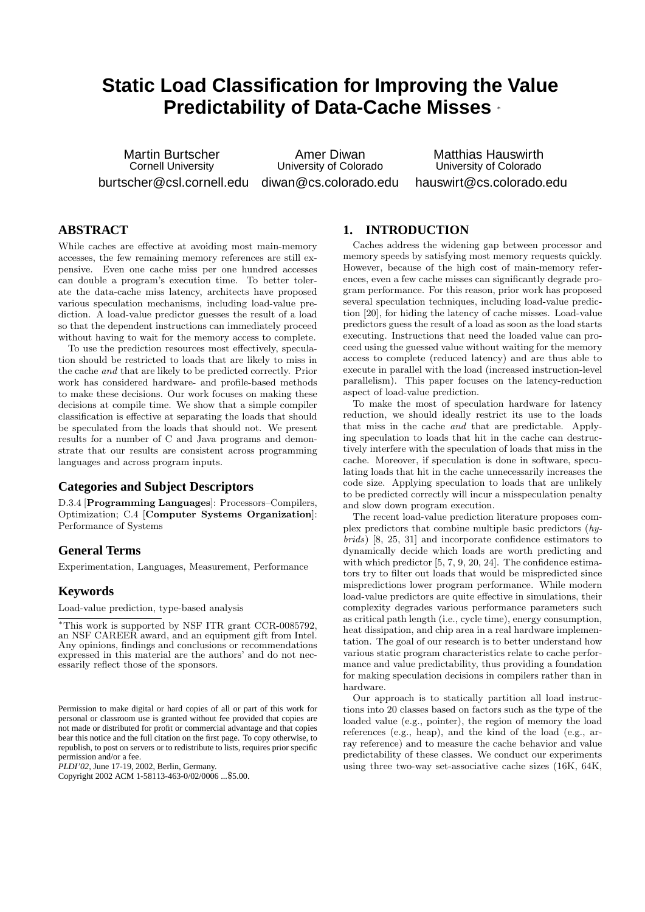# **Static Load Classification for Improving the Value Predictability of Data-Cache Misses** <sup>∗</sup>

Martin Burtscher Cornell University burtscher@csl.cornell.edu

Amer Diwan University of Colorado diwan@cs.colorado.edu

Matthias Hauswirth University of Colorado hauswirt@cs.colorado.edu

# **ABSTRACT**

While caches are effective at avoiding most main-memory accesses, the few remaining memory references are still expensive. Even one cache miss per one hundred accesses can double a program's execution time. To better tolerate the data-cache miss latency, architects have proposed various speculation mechanisms, including load-value prediction. A load-value predictor guesses the result of a load so that the dependent instructions can immediately proceed without having to wait for the memory access to complete.

To use the prediction resources most effectively, speculation should be restricted to loads that are likely to miss in the cache and that are likely to be predicted correctly. Prior work has considered hardware- and profile-based methods to make these decisions. Our work focuses on making these decisions at compile time. We show that a simple compiler classification is effective at separating the loads that should be speculated from the loads that should not. We present results for a number of C and Java programs and demonstrate that our results are consistent across programming languages and across program inputs.

### **Categories and Subject Descriptors**

D.3.4 [Programming Languages]: Processors–Compilers, Optimization; C.4 [Computer Systems Organization]: Performance of Systems

## **General Terms**

Experimentation, Languages, Measurement, Performance

### **Keywords**

Load-value prediction, type-based analysis

*PLDI'02,* June 17-19, 2002, Berlin, Germany.

Copyright 2002 ACM 1-58113-463-0/02/0006 ...\$5.00.

# **1. INTRODUCTION**

Caches address the widening gap between processor and memory speeds by satisfying most memory requests quickly. However, because of the high cost of main-memory references, even a few cache misses can significantly degrade program performance. For this reason, prior work has proposed several speculation techniques, including load-value prediction [20], for hiding the latency of cache misses. Load-value predictors guess the result of a load as soon as the load starts executing. Instructions that need the loaded value can proceed using the guessed value without waiting for the memory access to complete (reduced latency) and are thus able to execute in parallel with the load (increased instruction-level parallelism). This paper focuses on the latency-reduction aspect of load-value prediction.

To make the most of speculation hardware for latency reduction, we should ideally restrict its use to the loads that miss in the cache and that are predictable. Applying speculation to loads that hit in the cache can destructively interfere with the speculation of loads that miss in the cache. Moreover, if speculation is done in software, speculating loads that hit in the cache unnecessarily increases the code size. Applying speculation to loads that are unlikely to be predicted correctly will incur a misspeculation penalty and slow down program execution.

The recent load-value prediction literature proposes complex predictors that combine multiple basic predictors (hybrids) [8, 25, 31] and incorporate confidence estimators to dynamically decide which loads are worth predicting and with which predictor [5, 7, 9, 20, 24]. The confidence estimators try to filter out loads that would be mispredicted since mispredictions lower program performance. While modern load-value predictors are quite effective in simulations, their complexity degrades various performance parameters such as critical path length (i.e., cycle time), energy consumption, heat dissipation, and chip area in a real hardware implementation. The goal of our research is to better understand how various static program characteristics relate to cache performance and value predictability, thus providing a foundation for making speculation decisions in compilers rather than in hardware.

Our approach is to statically partition all load instructions into 20 classes based on factors such as the type of the loaded value (e.g., pointer), the region of memory the load references (e.g., heap), and the kind of the load (e.g., array reference) and to measure the cache behavior and value predictability of these classes. We conduct our experiments using three two-way set-associative cache sizes (16K, 64K,

<sup>∗</sup>This work is supported by NSF ITR grant CCR-0085792, an NSF CAREER award, and an equipment gift from Intel. Any opinions, findings and conclusions or recommendations expressed in this material are the authors' and do not necessarily reflect those of the sponsors.

Permission to make digital or hard copies of all or part of this work for personal or classroom use is granted without fee provided that copies are not made or distributed for profit or commercial advantage and that copies bear this notice and the full citation on the first page. To copy otherwise, to republish, to post on servers or to redistribute to lists, requires prior specific permission and/or a fee.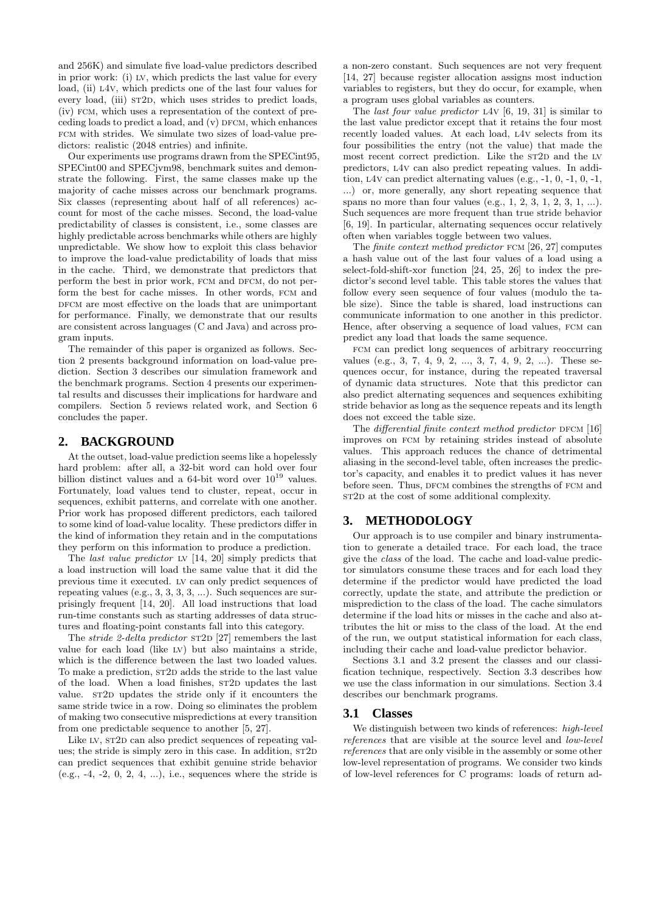and 256K) and simulate five load-value predictors described in prior work: (i) lv, which predicts the last value for every load, (ii) L4V, which predicts one of the last four values for every load, (iii)  $ST2D$ , which uses strides to predict loads, (iv) fcm, which uses a representation of the context of preceding loads to predict a load, and  $(v)$  DFCM, which enhances FCM with strides. We simulate two sizes of load-value predictors: realistic (2048 entries) and infinite.

Our experiments use programs drawn from the SPECint95, SPECint00 and SPECjvm98, benchmark suites and demonstrate the following. First, the same classes make up the majority of cache misses across our benchmark programs. Six classes (representing about half of all references) account for most of the cache misses. Second, the load-value predictability of classes is consistent, i.e., some classes are highly predictable across benchmarks while others are highly unpredictable. We show how to exploit this class behavior to improve the load-value predictability of loads that miss in the cache. Third, we demonstrate that predictors that perform the best in prior work, FCM and DFCM, do not perform the best for cache misses. In other words, FCM and DFCM are most effective on the loads that are unimportant for performance. Finally, we demonstrate that our results are consistent across languages (C and Java) and across program inputs.

The remainder of this paper is organized as follows. Section 2 presents background information on load-value prediction. Section 3 describes our simulation framework and the benchmark programs. Section 4 presents our experimental results and discusses their implications for hardware and compilers. Section 5 reviews related work, and Section 6 concludes the paper.

## **2. BACKGROUND**

At the outset, load-value prediction seems like a hopelessly hard problem: after all, a 32-bit word can hold over four billion distinct values and a 64-bit word over  $10^{19}$  values. Fortunately, load values tend to cluster, repeat, occur in sequences, exhibit patterns, and correlate with one another. Prior work has proposed different predictors, each tailored to some kind of load-value locality. These predictors differ in the kind of information they retain and in the computations they perform on this information to produce a prediction.

The *last value predictor* LV [14, 20] simply predicts that a load instruction will load the same value that it did the previous time it executed. lv can only predict sequences of repeating values (e.g., 3, 3, 3, 3, ...). Such sequences are surprisingly frequent [14, 20]. All load instructions that load run-time constants such as starting addresses of data structures and floating-point constants fall into this category.

The *stride 2-delta predictor*  $ST2D$  [27] remembers the last value for each load (like lv) but also maintains a stride, which is the difference between the last two loaded values. To make a prediction,  $ST2D$  adds the stride to the last value of the load. When a load finishes,  $ST2D$  updates the last value.  $ST2D$  updates the stride only if it encounters the same stride twice in a row. Doing so eliminates the problem of making two consecutive mispredictions at every transition from one predictable sequence to another [5, 27].

Like LV, ST2D can also predict sequences of repeating values; the stride is simply zero in this case. In addition,  $ST2D$ can predict sequences that exhibit genuine stride behavior (e.g.,  $-4$ ,  $-2$ , 0, 2, 4, ...), i.e., sequences where the stride is

a non-zero constant. Such sequences are not very frequent [14, 27] because register allocation assigns most induction variables to registers, but they do occur, for example, when a program uses global variables as counters.

The *last four value predictor* L4V  $[6, 19, 31]$  is similar to the last value predictor except that it retains the four most recently loaded values. At each load, l4v selects from its four possibilities the entry (not the value) that made the most recent correct prediction. Like the ST2D and the LV predictors, l4v can also predict repeating values. In addition,  $L4V$  can predict alternating values (e.g.,  $-1$ , 0,  $-1$ , 0,  $-1$ , ...) or, more generally, any short repeating sequence that spans no more than four values (e.g.,  $1, 2, 3, 1, 2, 3, 1, ...$ ). Such sequences are more frequent than true stride behavior [6, 19]. In particular, alternating sequences occur relatively often when variables toggle between two values.

The *finite context method predictor* FCM [26, 27] computes a hash value out of the last four values of a load using a select-fold-shift-xor function [24, 25, 26] to index the predictor's second level table. This table stores the values that follow every seen sequence of four values (modulo the table size). Since the table is shared, load instructions can communicate information to one another in this predictor. Hence, after observing a sequence of load values, fcm can predict any load that loads the same sequence.

FCM can predict long sequences of arbitrary reoccurring values (e.g., 3, 7, 4, 9, 2, ..., 3, 7, 4, 9, 2, ...). These sequences occur, for instance, during the repeated traversal of dynamic data structures. Note that this predictor can also predict alternating sequences and sequences exhibiting stride behavior as long as the sequence repeats and its length does not exceed the table size.

The differential finite context method predictor  $DFCM$  [16] improves on fcm by retaining strides instead of absolute values. This approach reduces the chance of detrimental aliasing in the second-level table, often increases the predictor's capacity, and enables it to predict values it has never before seen. Thus, DFCM combines the strengths of FCM and st<sub>2</sub>D at the cost of some additional complexity.

## **3. METHODOLOGY**

Our approach is to use compiler and binary instrumentation to generate a detailed trace. For each load, the trace give the class of the load. The cache and load-value predictor simulators consume these traces and for each load they determine if the predictor would have predicted the load correctly, update the state, and attribute the prediction or misprediction to the class of the load. The cache simulators determine if the load hits or misses in the cache and also attributes the hit or miss to the class of the load. At the end of the run, we output statistical information for each class, including their cache and load-value predictor behavior.

Sections 3.1 and 3.2 present the classes and our classification technique, respectively. Section 3.3 describes how we use the class information in our simulations. Section 3.4 describes our benchmark programs.

#### **3.1 Classes**

We distinguish between two kinds of references: high-level references that are visible at the source level and low-level references that are only visible in the assembly or some other low-level representation of programs. We consider two kinds of low-level references for C programs: loads of return ad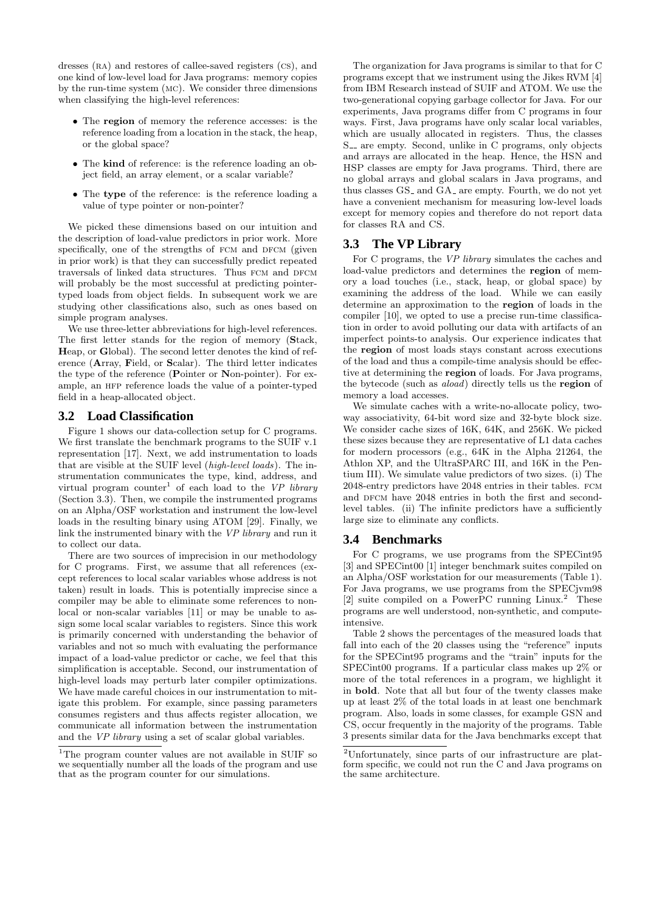dresses (RA) and restores of callee-saved registers (CS), and one kind of low-level load for Java programs: memory copies by the run-time system (mc). We consider three dimensions when classifying the high-level references:

- The region of memory the reference accesses: is the reference loading from a location in the stack, the heap, or the global space?
- The kind of reference: is the reference loading an object field, an array element, or a scalar variable?
- The type of the reference: is the reference loading a value of type pointer or non-pointer?

We picked these dimensions based on our intuition and the description of load-value predictors in prior work. More specifically, one of the strengths of FCM and DFCM (given in prior work) is that they can successfully predict repeated traversals of linked data structures. Thus FCM and DFCM will probably be the most successful at predicting pointertyped loads from object fields. In subsequent work we are studying other classifications also, such as ones based on simple program analyses.

We use three-letter abbreviations for high-level references. The first letter stands for the region of memory (Stack, Heap, or Global). The second letter denotes the kind of reference (Array, Field, or Scalar). The third letter indicates the type of the reference (Pointer or Non-pointer). For example, an HFP reference loads the value of a pointer-typed field in a heap-allocated object.

#### **3.2 Load Classification**

Figure 1 shows our data-collection setup for C programs. We first translate the benchmark programs to the SUIF v.1 representation [17]. Next, we add instrumentation to loads that are visible at the SUIF level (high-level loads). The instrumentation communicates the type, kind, address, and virtual program counter<sup>1</sup> of each load to the VP library (Section 3.3). Then, we compile the instrumented programs on an Alpha/OSF workstation and instrument the low-level loads in the resulting binary using ATOM [29]. Finally, we link the instrumented binary with the VP library and run it to collect our data.

There are two sources of imprecision in our methodology for C programs. First, we assume that all references (except references to local scalar variables whose address is not taken) result in loads. This is potentially imprecise since a compiler may be able to eliminate some references to nonlocal or non-scalar variables [11] or may be unable to assign some local scalar variables to registers. Since this work is primarily concerned with understanding the behavior of variables and not so much with evaluating the performance impact of a load-value predictor or cache, we feel that this simplification is acceptable. Second, our instrumentation of high-level loads may perturb later compiler optimizations. We have made careful choices in our instrumentation to mitigate this problem. For example, since passing parameters consumes registers and thus affects register allocation, we communicate all information between the instrumentation and the VP library using a set of scalar global variables.

The organization for Java programs is similar to that for C programs except that we instrument using the Jikes RVM [4] from IBM Research instead of SUIF and ATOM. We use the two-generational copying garbage collector for Java. For our experiments, Java programs differ from C programs in four ways. First, Java programs have only scalar local variables, which are usually allocated in registers. Thus, the classes S<sub>--</sub> are empty. Second, unlike in C programs, only objects and arrays are allocated in the heap. Hence, the HSN and HSP classes are empty for Java programs. Third, there are no global arrays and global scalars in Java programs, and thus classes GS<sub>-</sub> and GA<sub>-</sub> are empty. Fourth, we do not yet have a convenient mechanism for measuring low-level loads except for memory copies and therefore do not report data for classes RA and CS.

## **3.3 The VP Library**

For C programs, the VP library simulates the caches and load-value predictors and determines the region of memory a load touches (i.e., stack, heap, or global space) by examining the address of the load. While we can easily determine an approximation to the region of loads in the compiler [10], we opted to use a precise run-time classification in order to avoid polluting our data with artifacts of an imperfect points-to analysis. Our experience indicates that the region of most loads stays constant across executions of the load and thus a compile-time analysis should be effective at determining the region of loads. For Java programs, the bytecode (such as aload) directly tells us the region of memory a load accesses.

We simulate caches with a write-no-allocate policy, twoway associativity, 64-bit word size and 32-byte block size. We consider cache sizes of 16K, 64K, and 256K. We picked these sizes because they are representative of L1 data caches for modern processors (e.g., 64K in the Alpha 21264, the Athlon XP, and the UltraSPARC III, and 16K in the Pentium III). We simulate value predictors of two sizes. (i) The 2048-entry predictors have 2048 entries in their tables. fcm and DFCM have 2048 entries in both the first and secondlevel tables. (ii) The infinite predictors have a sufficiently large size to eliminate any conflicts.

## **3.4 Benchmarks**

For C programs, we use programs from the SPECint95 [3] and SPECint00 [1] integer benchmark suites compiled on an Alpha/OSF workstation for our measurements (Table 1). For Java programs, we use programs from the SPECjvm98 [2] suite compiled on a PowerPC running  $Linux^2$  These programs are well understood, non-synthetic, and computeintensive.

Table 2 shows the percentages of the measured loads that fall into each of the 20 classes using the "reference" inputs for the SPECint95 programs and the "train" inputs for the SPECint00 programs. If a particular class makes up 2% or more of the total references in a program, we highlight it in bold. Note that all but four of the twenty classes make up at least 2% of the total loads in at least one benchmark program. Also, loads in some classes, for example GSN and CS, occur frequently in the majority of the programs. Table 3 presents similar data for the Java benchmarks except that

<sup>&</sup>lt;sup>1</sup>The program counter values are not available in SUIF so we sequentially number all the loads of the program and use that as the program counter for our simulations.

<sup>2</sup>Unfortunately, since parts of our infrastructure are platform specific, we could not run the C and Java programs on the same architecture.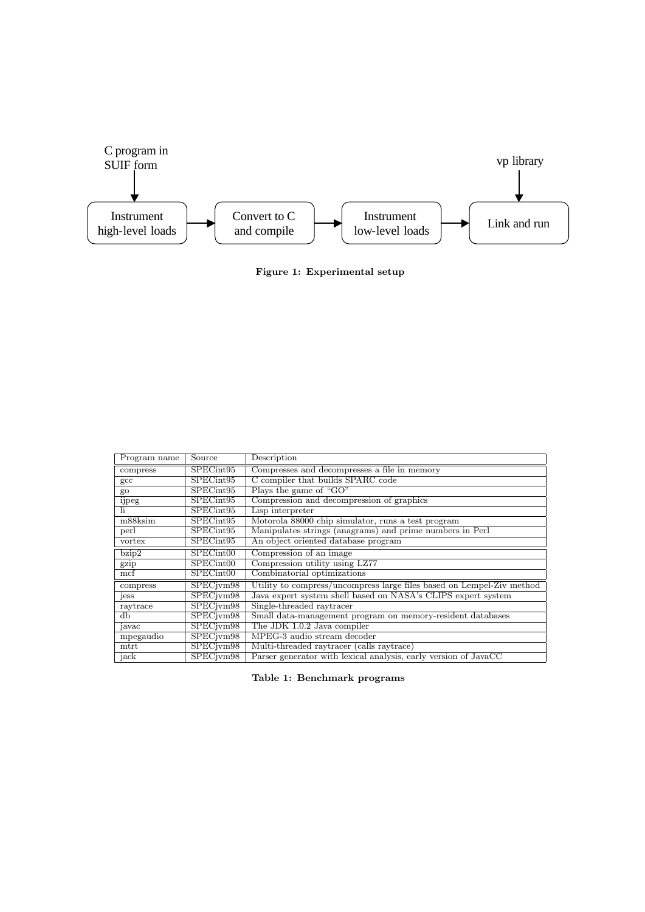

Figure 1: Experimental setup

| Program name | Source                | Description                                                           |
|--------------|-----------------------|-----------------------------------------------------------------------|
| compress     | SPECint <sub>95</sub> | Compresses and decompresses a file in memory                          |
| $_{\rm gcc}$ | SPECint <sub>95</sub> | C compiler that builds SPARC code                                     |
| go           | SPECint <sub>95</sub> | Plays the game of "GO"                                                |
| ijpeg        | SPECint <sub>95</sub> | Compression and decompression of graphics                             |
| li.          | SPECint <sub>95</sub> | Lisp interpreter                                                      |
| $m88$ ksim   | SPECint95             | Motorola 88000 chip simulator, runs a test program                    |
| perl         | SPECint95             | Manipulates strings (anagrams) and prime numbers in Perl              |
| vortex       | SPECint95             | An object oriented database program                                   |
| bzip2        | SPECint <sub>00</sub> | Compression of an image                                               |
| gzip         | SPECint <sub>00</sub> | Compression utility using LZ77                                        |
| mcf          | SPECint <sub>00</sub> | Combinatorial optimizations                                           |
| compress     | SPECivm98             | Utility to compress/uncompress large files based on Lempel-Ziv method |
| jess         | SPECivm98             | Java expert system shell based on NASA's CLIPS expert system          |
| raytrace     | SPECivm98             | Single-threaded raytracer                                             |
| db           | SPECivm98             | Small data-management program on memory-resident databases            |
| javac        | SPECivm98             | The JDK 1.0.2 Java compiler                                           |
| mpegaudio    | SPECivm98             | MPEG-3 audio stream decoder                                           |
| mtrt         | SPECivm98             | Multi-threaded raytracer (calls raytrace)                             |
| jack         | SPECjym98             | Parser generator with lexical analysis, early version of JavaCC       |

Table 1: Benchmark programs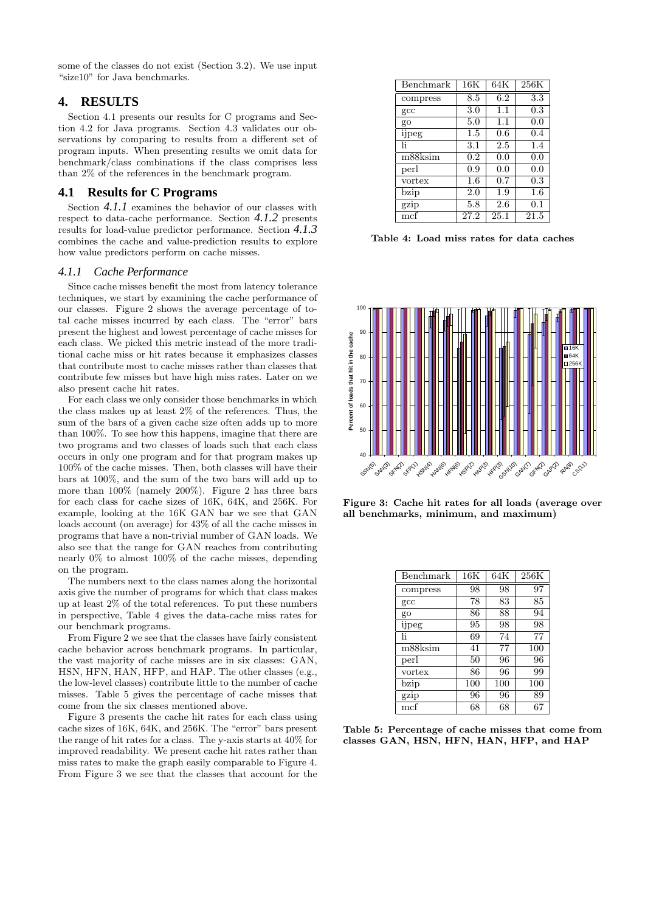some of the classes do not exist (Section 3.2). We use input "size10" for Java benchmarks.

## **4. RESULTS**

Section 4.1 presents our results for C programs and Section 4.2 for Java programs. Section 4.3 validates our observations by comparing to results from a different set of program inputs. When presenting results we omit data for benchmark/class combinations if the class comprises less than 2% of the references in the benchmark program.

## **4.1 Results for C Programs**

Section *4.1.1* examines the behavior of our classes with respect to data-cache performance. Section *4.1.2* presents results for load-value predictor performance. Section *4.1.3* combines the cache and value-prediction results to explore how value predictors perform on cache misses.

#### *4.1.1 Cache Performance*

Since cache misses benefit the most from latency tolerance techniques, we start by examining the cache performance of our classes. Figure 2 shows the average percentage of total cache misses incurred by each class. The "error" bars present the highest and lowest percentage of cache misses for each class. We picked this metric instead of the more traditional cache miss or hit rates because it emphasizes classes that contribute most to cache misses rather than classes that contribute few misses but have high miss rates. Later on we also present cache hit rates.

For each class we only consider those benchmarks in which the class makes up at least 2% of the references. Thus, the sum of the bars of a given cache size often adds up to more than 100%. To see how this happens, imagine that there are two programs and two classes of loads such that each class occurs in only one program and for that program makes up 100% of the cache misses. Then, both classes will have their bars at 100%, and the sum of the two bars will add up to more than 100% (namely 200%). Figure 2 has three bars for each class for cache sizes of 16K, 64K, and 256K. For example, looking at the 16K GAN bar we see that GAN loads account (on average) for 43% of all the cache misses in programs that have a non-trivial number of GAN loads. We also see that the range for GAN reaches from contributing nearly 0% to almost 100% of the cache misses, depending on the program.

The numbers next to the class names along the horizontal axis give the number of programs for which that class makes up at least 2% of the total references. To put these numbers in perspective, Table 4 gives the data-cache miss rates for our benchmark programs.

From Figure 2 we see that the classes have fairly consistent cache behavior across benchmark programs. In particular, the vast majority of cache misses are in six classes: GAN, HSN, HFN, HAN, HFP, and HAP. The other classes (e.g., the low-level classes) contribute little to the number of cache misses. Table 5 gives the percentage of cache misses that come from the six classes mentioned above.

Figure 3 presents the cache hit rates for each class using cache sizes of 16K, 64K, and 256K. The "error" bars present the range of hit rates for a class. The y-axis starts at 40% for improved readability. We present cache hit rates rather than miss rates to make the graph easily comparable to Figure 4. From Figure 3 we see that the classes that account for the

| Benchmark    | $16\mathrm{K}$ | 64K  | 256K    |
|--------------|----------------|------|---------|
| compress     | 8.5            | 6.2  | 3.3     |
| $_{\rm gcc}$ | 3.0            | 1.1  | $0.3\,$ |
| go           | 5.0            | 1.1  | 0.0     |
| ijpeg        | $1.5\,$        | 0.6  | 0.4     |
| 1i           | 3.1            | 2.5  | 1.4     |
| m88ksim      | 0.2            | 0.0  | 0.0     |
| perl         | 0.9            | 0.0  | 0.0     |
| vortex       | 1.6            | 0.7  | 0.3     |
| bzip         | 2.0            | 1.9  | $1.6\,$ |
| gzip         | 5.8            | 2.6  | $0.1\,$ |
| mcf          | 27.2           | 25.1 | 21.5    |

Table 4: Load miss rates for data caches



Figure 3: Cache hit rates for all loads (average over all benchmarks, minimum, and maximum)

| Benchmark | 16K | 64K | 256K |
|-----------|-----|-----|------|
| compress  | 98  | 98  | 97   |
| gcc       | 78  | 83  | 85   |
| go        | 86  | 88  | 94   |
| ijpeg     | 95  | 98  | 98   |
| li        | 69  | 74  | 77   |
| m88ksim   | 41  | 77  | 100  |
| perl      | 50  | 96  | 96   |
| vortex    | 86  | 96  | 99   |
| bzip      | 100 | 100 | 100  |
| gzip      | 96  | 96  | 89   |
| mcf       | 68  | 68  | 67   |

Table 5: Percentage of cache misses that come from classes GAN, HSN, HFN, HAN, HFP, and HAP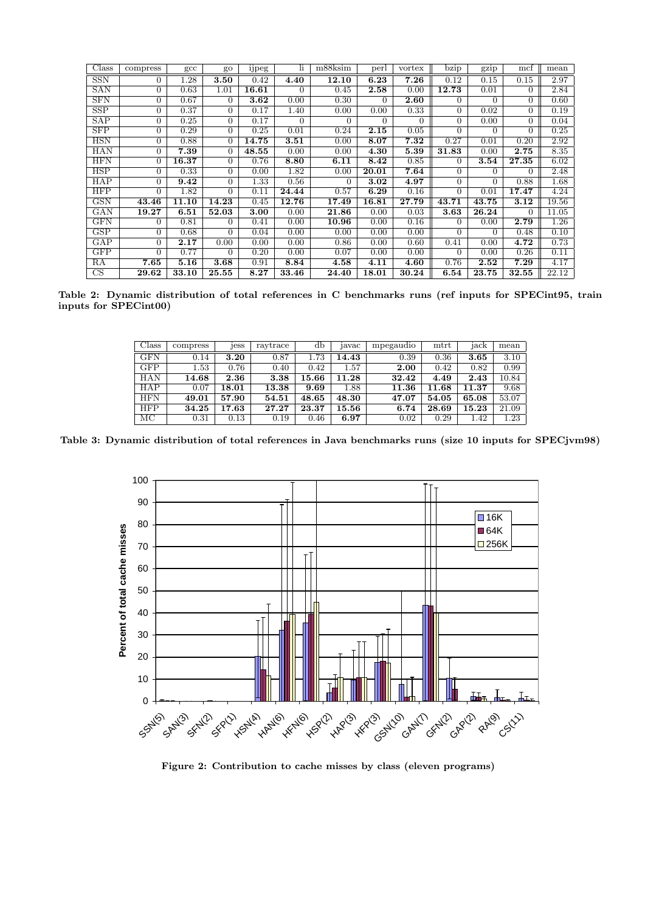| Class                   | compress | gcc   | go       | <i>ijpeg</i> | li.               | m88ksim             | perl     | vortex   | bzip     | gzip     | mcf            | mean  |
|-------------------------|----------|-------|----------|--------------|-------------------|---------------------|----------|----------|----------|----------|----------------|-------|
| <b>SSN</b>              | 0        | 1.28  | 3.50     | 0.42         | 4.40              | 12.10               | 6.23     | 7.26     | 0.12     | 0.15     | 0.15           | 2.97  |
| SAN                     | 0        | 0.63  | 1.01     | 16.61        | $\Omega$          | 0.45                | 2.58     | 0.00     | 12.73    | 0.01     | $\Omega$       | 2.84  |
| <b>SFN</b>              | 0        | 0.67  | $\Omega$ | 3.62         | 0.00              | 0.30                | $\Omega$ | 2.60     | 0        | $\Omega$ | $\Omega$       | 0.60  |
| $\overline{\text{SSP}}$ | 0        | 0.37  | 0        | 0.17         | 1.40              | 0.00                | 0.00     | 0.33     | 0        | 0.02     | $\Omega$       | 0.19  |
| SAP                     | 0        | 0.25  | $\Omega$ | 0.17         | $\Omega$          | $\overline{0}$      | $\Omega$ | $\Omega$ | $\Omega$ | 0.00     | $\overline{0}$ | 0.04  |
| SFP                     | 0        | 0.29  | $\Omega$ | 0.25         | 0.01              | 0.24                | 2.15     | 0.05     | $\Omega$ | $\Omega$ | $\Omega$       | 0.25  |
| <b>HSN</b>              | 0        | 0.88  | $\Omega$ | 14.75        | $\overline{3.51}$ | 0.00                | 8.07     | 7.32     | 0.27     | 0.01     | 0.20           | 2.92  |
| <b>HAN</b>              | 0        | 7.39  | 0        | 48.55        | 0.00              | 0.00                | $4.30\,$ | 5.39     | 31.83    | 0.00     | 2.75           | 8.35  |
| <b>HFN</b>              | 0        | 16.37 | $\Omega$ | 0.76         | 8.80              | 6.11                | 8.42     | 0.85     | 0        | 3.54     | 27.35          | 6.02  |
| <b>HSP</b>              | 0        | 0.33  | $\Omega$ | 0.00         | 1.82              | 0.00                | 20.01    | 7.64     | 0        | $\Omega$ | 0              | 2.48  |
| <b>HAP</b>              | 0        | 9.42  | $\Omega$ | 1.33         | 0.56              | 0                   | 3.02     | 4.97     | $\Omega$ | 0        | 0.88           | 1.68  |
| <b>HFP</b>              | 0        | 1.82  | 0        | 0.11         | 24.44             | 0.57                | 6.29     | 0.16     | 0        | 0.01     | 17.47          | 4.24  |
| <b>GSN</b>              | 43.46    | 11.10 | 14.23    | 0.45         | 12.76             | 17.49               | 16.81    | 27.79    | 43.71    | 43.75    | 3.12           | 19.56 |
| GAN                     | 19.27    | 6.51  | 52.03    | $3.00\,$     | 0.00              | 21.86               | 0.00     | 0.03     | 3.63     | 26.24    | 0              | 11.05 |
| <b>GFN</b>              | 0        | 0.81  | 0        | 0.41         | 0.00              | 10.96               | 0.00     | 0.16     | 0        | 0.00     | 2.79           | 1.26  |
| $\operatorname{GSP}$    | 0        | 0.68  | $\Omega$ | 0.04         | 0.00              | 0.00                | 0.00     | 0.00     | $\Omega$ | 0        | 0.48           | 0.10  |
| GAP                     | $\Omega$ | 2.17  | 0.00     | 0.00         | 0.00              | 0.86                | 0.00     | 0.60     | 0.41     | 0.00     | 4.72           | 0.73  |
| <b>GFP</b>              | $\Omega$ | 0.77  | $\Omega$ | 0.20         | 0.00              | 0.07                | 0.00     | 0.00     | 0        | 0.00     | 0.26           | 0.11  |
| RA                      | 7.65     | 5.16  | 3.68     | 0.91         | 8.84              | $\boldsymbol{4.58}$ | 4.11     | 4.60     | 0.76     | 2.52     | 7.29           | 4.17  |
| CS                      | 29.62    | 33.10 | 25.55    | 8.27         | 33.46             | 24.40               | 18.01    | 30.24    | 6.54     | 23.75    | 32.55          | 22.12 |

Table 2: Dynamic distribution of total references in C benchmarks runs (ref inputs for SPECint95, train inputs for SPECint00)

| Class                  | compress  | jess  | raytrace | db        | <sub>1</sub> avac | mpegaudio | $m$ trt | jack  | mean  |
|------------------------|-----------|-------|----------|-----------|-------------------|-----------|---------|-------|-------|
| GFN                    | 0.14      | 3.20  | 0.87     | . 73      | 14.43             | 0.39      | 0.36    | 3.65  | 3.10  |
| <b>GFP</b>             | $1.53\,$  | 0.76  | 0.40     | 0.42      | 1.57              | 2.00      | 0.42    | 0.82  | 0.99  |
| <b>HAN</b>             | 14.68     | 2.36  | 3.38     | $15.66\,$ | 11.28             | 32.42     | 4.49    | 2.43  | 10.84 |
| HAP                    | 0.07      | 18.01 | 13.38    | 9.69      | 1.88              | 11.36     | 11.68   | 11.37 | 9.68  |
| <b>HFN</b>             | 49.01     | 57.90 | 54.51    | 48.65     | 48.30             | 47.07     | 54.05   | 65.08 | 53.07 |
| <b>HFP</b>             | 34.25     | 17.63 | 27.27    | 23.37     | 15.56             | 6.74      | 28.69   | 15.23 | 21.09 |
| $\overline{\text{MC}}$ | $_{0.31}$ | 0.13  | 0.19     | 0.46      | 6.97              | 0.02      | 0.29    | 1.42  | 1.23  |

Table 3: Dynamic distribution of total references in Java benchmarks runs (size 10 inputs for SPECjvm98)



Figure 2: Contribution to cache misses by class (eleven programs)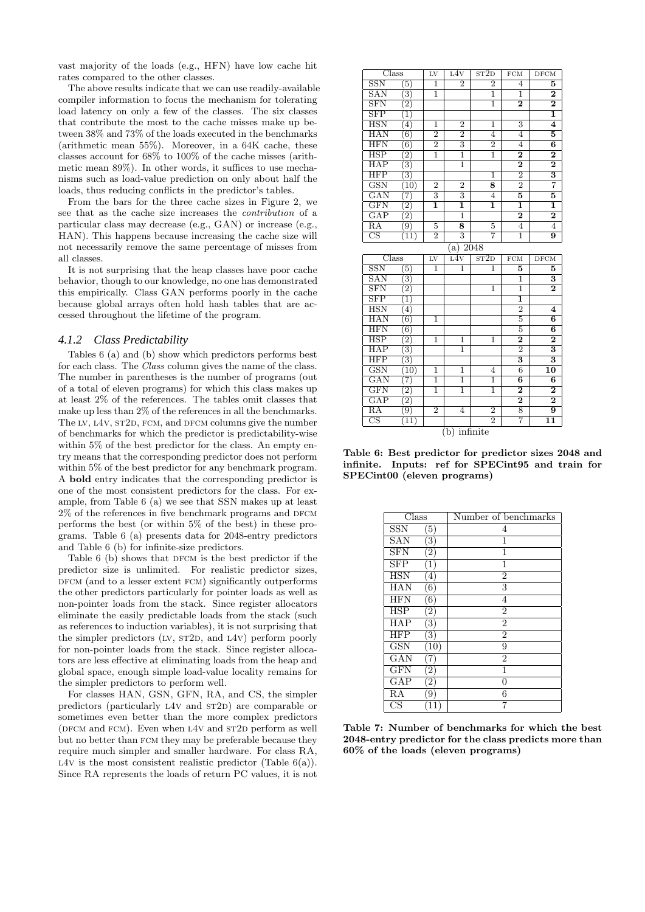vast majority of the loads (e.g., HFN) have low cache hit rates compared to the other classes.

The above results indicate that we can use readily-available compiler information to focus the mechanism for tolerating load latency on only a few of the classes. The six classes that contribute the most to the cache misses make up between 38% and 73% of the loads executed in the benchmarks (arithmetic mean  $55\%$ ). Moreover, in a  $64K$  cache, these classes account for 68% to 100% of the cache misses (arithmetic mean 89%). In other words, it suffices to use mechanisms such as load-value prediction on only about half the loads, thus reducing conflicts in the predictor's tables.

From the bars for the three cache sizes in Figure 2, we see that as the cache size increases the contribution of a particular class may decrease (e.g., GAN) or increase (e.g., HAN). This happens because increasing the cache size will not necessarily remove the same percentage of misses from all classes.

It is not surprising that the heap classes have poor cache behavior, though to our knowledge, no one has demonstrated this empirically. Class GAN performs poorly in the cache because global arrays often hold hash tables that are accessed throughout the lifetime of the program.

#### *4.1.2 Class Predictability*

Tables 6 (a) and (b) show which predictors performs best for each class. The Class column gives the name of the class. The number in parentheses is the number of programs (out of a total of eleven programs) for which this class makes up at least 2% of the references. The tables omit classes that make up less than 2% of the references in all the benchmarks. The LV, L4V, ST2D, FCM, and DFCM columns give the number of benchmarks for which the predictor is predictability-wise within 5% of the best predictor for the class. An empty entry means that the corresponding predictor does not perform within 5% of the best predictor for any benchmark program. A bold entry indicates that the corresponding predictor is one of the most consistent predictors for the class. For example, from Table 6 (a) we see that SSN makes up at least  $2\%$  of the references in five benchmark programs and DFCM performs the best (or within 5% of the best) in these programs. Table 6 (a) presents data for 2048-entry predictors and Table 6 (b) for infinite-size predictors.

Table  $6$  (b) shows that DFCM is the best predictor if the predictor size is unlimited. For realistic predictor sizes, DFCM (and to a lesser extent FCM) significantly outperforms the other predictors particularly for pointer loads as well as non-pointer loads from the stack. Since register allocators eliminate the easily predictable loads from the stack (such as references to induction variables), it is not surprising that the simpler predictors  $(LV, ST2D, and L4V)$  perform poorly for non-pointer loads from the stack. Since register allocators are less effective at eliminating loads from the heap and global space, enough simple load-value locality remains for the simpler predictors to perform well.

For classes HAN, GSN, GFN, RA, and CS, the simpler predictors (particularly L4V and ST2D) are comparable or sometimes even better than the more complex predictors ( $DFCM$  and  $FCM$ ). Even when  $L4V$  and  $ST2D$  perform as well but no better than FCM they may be preferable because they require much simpler and smaller hardware. For class RA,  $L4V$  is the most consistent realistic predictor (Table 6(a)). Since RA represents the loads of return PC values, it is not

| $\overline{\text{Class}}$   |                  | LV                        | L4V                       | $\overline{\text{ST2D}}$ | FCM                       | <b>DFCM</b>               |  |
|-----------------------------|------------------|---------------------------|---------------------------|--------------------------|---------------------------|---------------------------|--|
| $\overline{\mathrm{SSN}}$   | (5)              | $\overline{1}$            | $\overline{2}$            | $\overline{2}$           | $\overline{4}$            | 5                         |  |
| $\overline{\text{SAN}}$     | 3)               | ī                         |                           | $\overline{1}$           | 1                         | $\overline{\mathbf{2}}$   |  |
| $\overline{\text{SFN}}$     | $\overline{2)}$  |                           |                           | ī                        | $\overline{\textbf{2}}$   | $\overline{\mathbf{2}}$   |  |
| $\overline{\text{SFP}}$     | $\overline{1}$   |                           |                           |                          |                           | ī                         |  |
| $\overline{\text{HSN}}$     | $\overline{4}$   | 1                         | $\overline{2}$            | 1                        | $\overline{\overline{3}}$ | $\overline{\bf 4}$        |  |
| <b>HAN</b>                  | $\overline{6}$   | $\overline{2}$            | $\overline{2}$            | $\overline{4}$           | $\overline{4}$            | $\overline{\bf 5}$        |  |
| <b>HFN</b>                  | $\overline{(6)}$ | $\overline{2}$            | $\overline{\overline{3}}$ | $\overline{2}$           | $\overline{4}$            | $\overline{\bf 6}$        |  |
| <b>HSP</b>                  | $\overline{2)}$  | ī                         | ī                         | ī                        | $\overline{\textbf{2}}$   | $\overline{2}$            |  |
| <b>HAP</b>                  | $\overline{(3)}$ |                           | $\overline{1}$            |                          | $\overline{2}$            | $\overline{2}$            |  |
| <b>HFP</b>                  | $\overline{(3)}$ |                           |                           | 1                        | $\overline{2}$            | $\overline{\overline{3}}$ |  |
| $\overline{\text{GSN}}$     | (10)             | $\overline{2}$            | $\overline{2}$            | $\overline{\bf 8}$       | $\overline{2}$            | 7                         |  |
| $\overline{\text{GAN}}$     | 7)               | $\overline{\overline{3}}$ | $\overline{\overline{3}}$ | $\overline{4}$           | $\overline{\mathbf{5}}$   | $\overline{5}$            |  |
| $\overline{\text{GFN}}$     | $\overline{2)}$  | ī                         | $\overline{\mathbf{1}}$   | $\overline{\mathbf{1}}$  | $\overline{\mathbf{1}}$   | ī                         |  |
| $\overline{\text{GAP}}$     | $\overline{2)}$  |                           | $\overline{1}$            |                          | $\overline{\mathbf{2}}$   | $\overline{2}$            |  |
| $\overline{RA}$             | $\overline{9)}$  | 5                         | $\overline{\bf 8}$        | 5                        | $\overline{4}$            | $\overline{4}$            |  |
| $\overline{\text{CS}}$      | $\overline{11}$  | $\overline{2}$            | $\overline{3}$            | 7                        | $\overline{1}$            | $\overline{9}$            |  |
| $\overline{2}048$<br>(a)    |                  |                           |                           |                          |                           |                           |  |
|                             |                  |                           |                           |                          |                           |                           |  |
| $\overline{\mathrm{Class}}$ |                  | LV                        | L4V                       | ST2D                     | FCM                       | <b>DFCM</b>               |  |
| $\overline{\mathrm{SSN}}$   | $\overline{(5)}$ | ī                         | ī                         | ī                        | $\overline{5}$            | 5                         |  |
| $\overline{\text{SAN}}$     | $\overline{(3)}$ |                           |                           |                          | $\overline{1}$            | $\overline{\mathbf{3}}$   |  |
| $\overline{\text{SFN}}$     | $\overline{(2)}$ |                           |                           | ī                        | ī                         | $\overline{2}$            |  |
| $\overline{\text{SFP}}$     | $\left(1\right)$ |                           |                           |                          | ī                         |                           |  |
| $\overline{\text{HSN}}$     | $\overline{4}$   |                           |                           |                          | $\overline{2}$            | $\overline{4}$            |  |
| $\overline{\text{HAN}}$     | $\overline{(6)}$ | 1                         |                           |                          | $\overline{5}$            | $\overline{6}$            |  |
| <b>HFN</b>                  | (6)              |                           |                           |                          | $\overline{5}$            | $\overline{6}$            |  |
| <b>HSP</b>                  | $\overline{2)}$  | $\overline{1}$            | 1                         | ī                        | $\overline{\mathbf{2}}$   | $\overline{\mathbf{2}}$   |  |
| $\overline{\text{HAP}}$     | $\overline{3)}$  |                           | $\overline{1}$            |                          | $\overline{2}$            | $\overline{\mathbf{3}}$   |  |
| $\overline{\text{HFP}}$     | $\overline{(3)}$ |                           |                           |                          | $\overline{\mathbf{3}}$   | $\overline{\mathbf{3}}$   |  |
| $\overline{\text{GSN}}$     | $\overline{10)}$ | 1                         | 1                         | 4                        | $\overline{6}$            | $\overline{10}$           |  |
| $\overline{\text{GAN}}$     | 7)               | $\overline{1}$            | $\overline{1}$            | $\overline{1}$           | $\overline{\bf 6}$        | $\overline{6}$            |  |
| $\overline{\text{GFN}}$     | $\overline{2)}$  | $\overline{1}$            | $\overline{1}$            | ī                        | $\overline{\mathbf{2}}$   | $\overline{\mathbf{2}}$   |  |
| $_{\rm GAP}$                | $\overline{2)}$  |                           |                           |                          | $\overline{\mathbf{2}}$   | $\overline{2}$            |  |
| $_{\rm RA}$                 | $\overline{(9)}$ | $\overline{2}$            | $\overline{4}$            | $\overline{2}$           | $\overline{8}$            | $\overline{9}$            |  |
| $\overline{\text{CS}}$      | $\overline{11}$  |                           |                           | $\overline{2}$           | 7                         | $\overline{11}$           |  |

Table 6: Best predictor for predictor sizes 2048 and infinite. Inputs: ref for SPECint95 and train for SPECint00 (eleven programs)

| Class                   |                        | Number of benchmarks |
|-------------------------|------------------------|----------------------|
| <b>SSN</b>              | $\left(5\right)$       | 4                    |
| SAN                     | 3                      | $\mathbf{1}$         |
| <b>SFN</b>              | 2                      | $\mathbf{1}$         |
| SFP                     |                        | 1                    |
| <b>HSN</b>              | 4                      | $\overline{2}$       |
| <b>HAN</b>              | 6)                     | $\overline{3}$       |
| <b>HFN</b>              | (6)                    | 4                    |
| <b>HSP</b>              | $\overline{2}$         | $\overline{2}$       |
| HAP                     | $\left( 3\right)$      | $\overline{2}$       |
| <b>HFP</b>              | (3)                    | $\overline{2}$       |
| <b>GSN</b>              | (10)                   | $\overline{9}$       |
| GAN                     | 7                      | $\overline{2}$       |
| GFN                     | $\left 2\right\rangle$ | $\mathbf{1}$         |
| $\overline{\text{GAP}}$ | $^{2}$                 | $\overline{0}$       |
| RA                      | 9                      | 6                    |
| $_{\rm CS}$             |                        | 7                    |

Table 7: Number of benchmarks for which the best 2048-entry predictor for the class predicts more than 60% of the loads (eleven programs)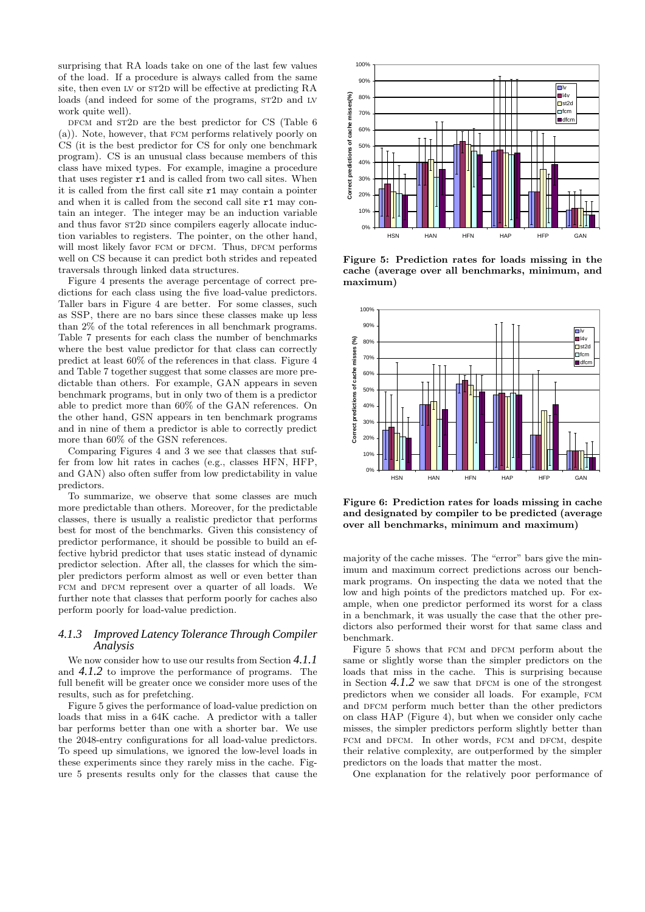surprising that RA loads take on one of the last few values of the load. If a procedure is always called from the same site, then even LV or  $ST2D$  will be effective at predicting RA loads (and indeed for some of the programs, ST2D and LV work quite well).

DFCM and ST2D are the best predictor for CS (Table  $6$ (a)). Note, however, that fcm performs relatively poorly on CS (it is the best predictor for CS for only one benchmark program). CS is an unusual class because members of this class have mixed types. For example, imagine a procedure that uses register r1 and is called from two call sites. When it is called from the first call site r1 may contain a pointer and when it is called from the second call site r1 may contain an integer. The integer may be an induction variable and thus favor  $ST2D$  since compilers eagerly allocate induction variables to registers. The pointer, on the other hand, will most likely favor FCM or DFCM. Thus, DFCM performs well on CS because it can predict both strides and repeated traversals through linked data structures.

Figure 4 presents the average percentage of correct predictions for each class using the five load-value predictors. Taller bars in Figure 4 are better. For some classes, such as SSP, there are no bars since these classes make up less than 2% of the total references in all benchmark programs. Table 7 presents for each class the number of benchmarks where the best value predictor for that class can correctly predict at least 60% of the references in that class. Figure 4 and Table 7 together suggest that some classes are more predictable than others. For example, GAN appears in seven benchmark programs, but in only two of them is a predictor able to predict more than 60% of the GAN references. On the other hand, GSN appears in ten benchmark programs and in nine of them a predictor is able to correctly predict more than 60% of the GSN references. describes the mixing the proposition of the classes that is called from two coall sites. When<br>that uses register r1 and is called from two coall site r1 may coal<br>and them the sixted latter r1 may coalisate a pointer in th

Comparing Figures 4 and 3 we see that classes that suffer from low hit rates in caches (e.g., classes HFN, HFP, and GAN) also often suffer from low predictability in value predictors.

To summarize, we observe that some classes are much more predictable than others. Moreover, for the predictable classes, there is usually a realistic predictor that performs best for most of the benchmarks. Given this consistency of predictor performance, it should be possible to build an effective hybrid predictor that uses static instead of dynamic predictor selection. After all, the classes for which the simpler predictors perform almost as well or even better than FCM and DFCM represent over a quarter of all loads. We further note that classes that perform poorly for caches also perform poorly for load-value prediction.

#### *4.1.3 Improved Latency Tolerance Through Compiler Analysis*

We now consider how to use our results from Section *4.1.1* and *4.1.2* to improve the performance of programs. The full benefit will be greater once we consider more uses of the results, such as for prefetching.

Figure 5 gives the performance of load-value prediction on loads that miss in a 64K cache. A predictor with a taller bar performs better than one with a shorter bar. We use the 2048-entry configurations for all load-value predictors. To speed up simulations, we ignored the low-level loads in these experiments since they rarely miss in the cache. Fig-



Figure 5: Prediction rates for loads missing in the cache (average over all benchmarks, minimum, and maximum)



Figure 6: Prediction rates for loads missing in cache and designated by compiler to be predicted (average over all benchmarks, minimum and maximum)

majority of the cache misses. The "error" bars give the minimum and maximum correct predictions across our benchmark programs. On inspecting the data we noted that the low and high points of the predictors matched up. For example, when one predictor performed its worst for a class in a benchmark, it was usually the case that the other predictors also performed their worst for that same class and benchmark.

Figure 5 shows that FCM and DFCM perform about the same or slightly worse than the simpler predictors on the loads that miss in the cache. This is surprising because in Section  $4.1.2$  we saw that DFCM is one of the strongest predictors when we consider all loads. For example, fcm and DFCM perform much better than the other predictors on class HAP (Figure 4), but when we consider only cache misses, the simpler predictors perform slightly better than FCM and DFCM. In other words, FCM and DFCM, despite their relative complexity, are outperformed by the simpler predictors on the loads that matter the most.

One explanation for the relatively poor performance of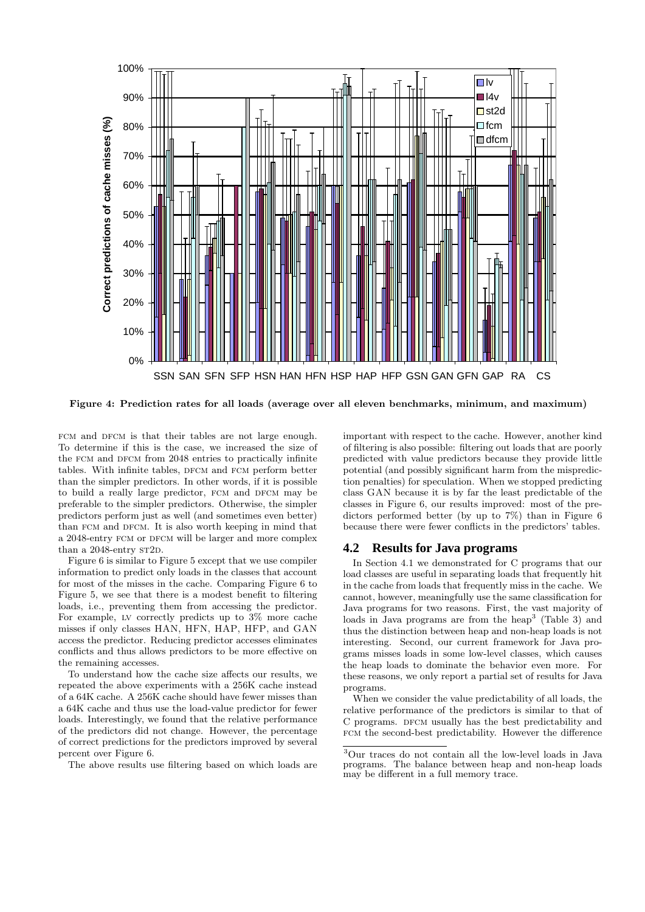

Figure 4: Prediction rates for all loads (average over all eleven benchmarks, minimum, and maximum)

FCM and DFCM is that their tables are not large enough. To determine if this is the case, we increased the size of the FCM and DFCM from 2048 entries to practically infinite tables. With infinite tables, DFCM and FCM perform better than the simpler predictors. In other words, if it is possible to build a really large predictor, FCM and DFCM may be preferable to the simpler predictors. Otherwise, the simpler predictors perform just as well (and sometimes even better) than FCM and DFCM. It is also worth keeping in mind that a 2048-entry FCM or DFCM will be larger and more complex than a 2048-entry ST2D.

Figure 6 is similar to Figure 5 except that we use compiler information to predict only loads in the classes that account for most of the misses in the cache. Comparing Figure 6 to Figure 5, we see that there is a modest benefit to filtering loads, i.e., preventing them from accessing the predictor. For example, lv correctly predicts up to 3% more cache misses if only classes HAN, HFN, HAP, HFP, and GAN access the predictor. Reducing predictor accesses eliminates conflicts and thus allows predictors to be more effective on the remaining accesses.

To understand how the cache size affects our results, we repeated the above experiments with a 256K cache instead of a 64K cache. A 256K cache should have fewer misses than a 64K cache and thus use the load-value predictor for fewer loads. Interestingly, we found that the relative performance of the predictors did not change. However, the percentage of correct predictions for the predictors improved by several percent over Figure 6.

The above results use filtering based on which loads are

important with respect to the cache. However, another kind of filtering is also possible: filtering out loads that are poorly predicted with value predictors because they provide little potential (and possibly significant harm from the misprediction penalties) for speculation. When we stopped predicting class GAN because it is by far the least predictable of the classes in Figure 6, our results improved: most of the predictors performed better (by up to 7%) than in Figure 6 because there were fewer conflicts in the predictors' tables.

#### **4.2 Results for Java programs**

In Section 4.1 we demonstrated for C programs that our load classes are useful in separating loads that frequently hit in the cache from loads that frequently miss in the cache. We cannot, however, meaningfully use the same classification for Java programs for two reasons. First, the vast majority of loads in Java programs are from the heap<sup>3</sup> (Table 3) and thus the distinction between heap and non-heap loads is not interesting. Second, our current framework for Java programs misses loads in some low-level classes, which causes the heap loads to dominate the behavior even more. For these reasons, we only report a partial set of results for Java programs.

When we consider the value predictability of all loads, the relative performance of the predictors is similar to that of C programs. DFCM usually has the best predictability and FCM the second-best predictability. However the difference

<sup>3</sup>Our traces do not contain all the low-level loads in Java programs. The balance between heap and non-heap loads may be different in a full memory trace.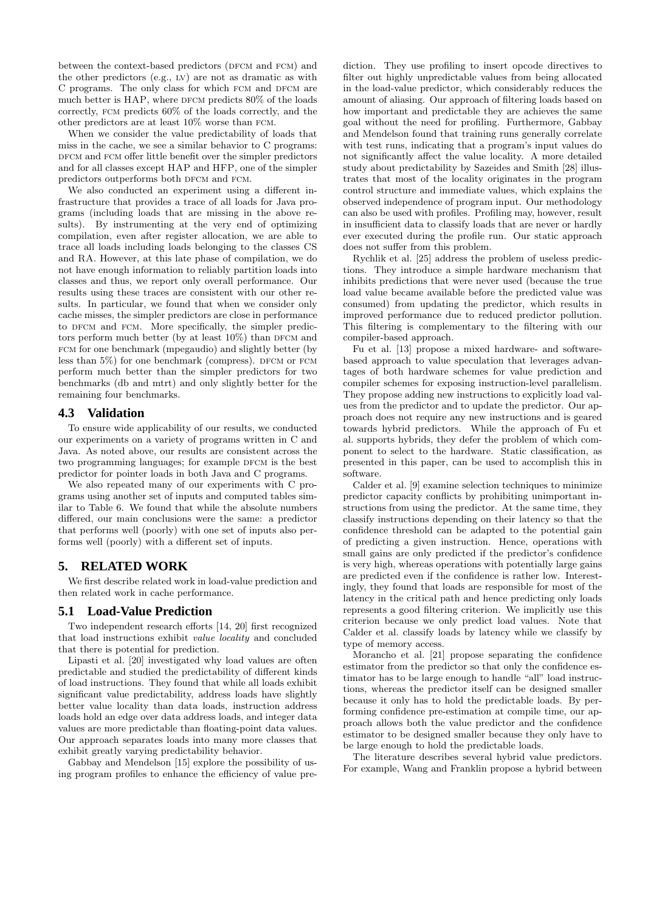between the context-based predictors (DFCM and FCM) and the other predictors (e.g., lv) are not as dramatic as with C programs. The only class for which FCM and DFCM are much better is HAP, where DFCM predicts  $80\%$  of the loads correctly, fcm predicts 60% of the loads correctly, and the other predictors are at least 10% worse than fcm.

When we consider the value predictability of loads that miss in the cache, we see a similar behavior to C programs: DFCM and FCM offer little benefit over the simpler predictors and for all classes except HAP and HFP, one of the simpler predictors outperforms both DFCM and FCM.

We also conducted an experiment using a different infrastructure that provides a trace of all loads for Java programs (including loads that are missing in the above results). By instrumenting at the very end of optimizing compilation, even after register allocation, we are able to trace all loads including loads belonging to the classes CS and RA. However, at this late phase of compilation, we do not have enough information to reliably partition loads into classes and thus, we report only overall performance. Our results using these traces are consistent with our other results. In particular, we found that when we consider only cache misses, the simpler predictors are close in performance to DFCM and FCM. More specifically, the simpler predictors perform much better (by at least  $10\%$ ) than DFCM and FCM for one benchmark (mpegaudio) and slightly better (by less than  $5\%$ ) for one benchmark (compress). DFCM or FCM perform much better than the simpler predictors for two benchmarks (db and mtrt) and only slightly better for the remaining four benchmarks.

#### **4.3 Validation**

To ensure wide applicability of our results, we conducted our experiments on a variety of programs written in C and Java. As noted above, our results are consistent across the two programming languages; for example DFCM is the best predictor for pointer loads in both Java and C programs.

We also repeated many of our experiments with C programs using another set of inputs and computed tables similar to Table 6. We found that while the absolute numbers differed, our main conclusions were the same: a predictor that performs well (poorly) with one set of inputs also performs well (poorly) with a different set of inputs.

## **5. RELATED WORK**

We first describe related work in load-value prediction and then related work in cache performance.

## **5.1 Load-Value Prediction**

Two independent research efforts [14, 20] first recognized that load instructions exhibit value locality and concluded that there is potential for prediction.

Lipasti et al. [20] investigated why load values are often predictable and studied the predictability of different kinds of load instructions. They found that while all loads exhibit significant value predictability, address loads have slightly better value locality than data loads, instruction address loads hold an edge over data address loads, and integer data values are more predictable than floating-point data values. Our approach separates loads into many more classes that exhibit greatly varying predictability behavior.

Gabbay and Mendelson [15] explore the possibility of using program profiles to enhance the efficiency of value pre-

diction. They use profiling to insert opcode directives to filter out highly unpredictable values from being allocated in the load-value predictor, which considerably reduces the amount of aliasing. Our approach of filtering loads based on how important and predictable they are achieves the same goal without the need for profiling. Furthermore, Gabbay and Mendelson found that training runs generally correlate with test runs, indicating that a program's input values do not significantly affect the value locality. A more detailed study about predictability by Sazeides and Smith [28] illustrates that most of the locality originates in the program control structure and immediate values, which explains the observed independence of program input. Our methodology can also be used with profiles. Profiling may, however, result in insufficient data to classify loads that are never or hardly ever executed during the profile run. Our static approach does not suffer from this problem.

Rychlik et al. [25] address the problem of useless predictions. They introduce a simple hardware mechanism that inhibits predictions that were never used (because the true load value became available before the predicted value was consumed) from updating the predictor, which results in improved performance due to reduced predictor pollution. This filtering is complementary to the filtering with our compiler-based approach.

Fu et al. [13] propose a mixed hardware- and softwarebased approach to value speculation that leverages advantages of both hardware schemes for value prediction and compiler schemes for exposing instruction-level parallelism. They propose adding new instructions to explicitly load values from the predictor and to update the predictor. Our approach does not require any new instructions and is geared towards hybrid predictors. While the approach of Fu et al. supports hybrids, they defer the problem of which component to select to the hardware. Static classification, as presented in this paper, can be used to accomplish this in software.

Calder et al. [9] examine selection techniques to minimize predictor capacity conflicts by prohibiting unimportant instructions from using the predictor. At the same time, they classify instructions depending on their latency so that the confidence threshold can be adapted to the potential gain of predicting a given instruction. Hence, operations with small gains are only predicted if the predictor's confidence is very high, whereas operations with potentially large gains are predicted even if the confidence is rather low. Interestingly, they found that loads are responsible for most of the latency in the critical path and hence predicting only loads represents a good filtering criterion. We implicitly use this criterion because we only predict load values. Note that Calder et al. classify loads by latency while we classify by type of memory access.

Morancho et al. [21] propose separating the confidence estimator from the predictor so that only the confidence estimator has to be large enough to handle "all" load instructions, whereas the predictor itself can be designed smaller because it only has to hold the predictable loads. By performing confidence pre-estimation at compile time, our approach allows both the value predictor and the confidence estimator to be designed smaller because they only have to be large enough to hold the predictable loads.

The literature describes several hybrid value predictors. For example, Wang and Franklin propose a hybrid between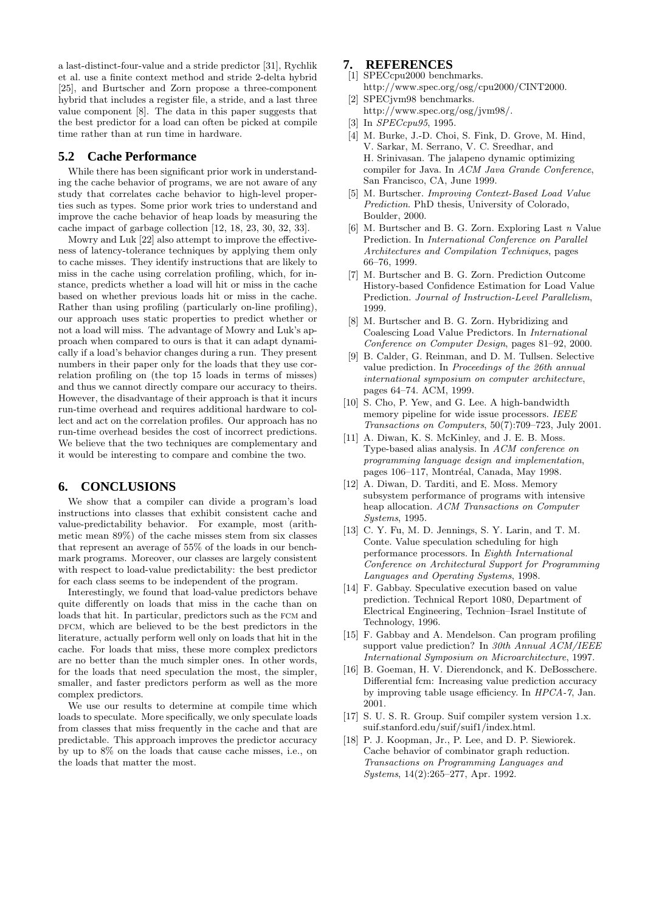a last-distinct-four-value and a stride predictor [31], Rychlik et al. use a finite context method and stride 2-delta hybrid [25], and Burtscher and Zorn propose a three-component hybrid that includes a register file, a stride, and a last three value component [8]. The data in this paper suggests that the best predictor for a load can often be picked at compile time rather than at run time in hardware.

#### **5.2 Cache Performance**

While there has been significant prior work in understanding the cache behavior of programs, we are not aware of any study that correlates cache behavior to high-level properties such as types. Some prior work tries to understand and improve the cache behavior of heap loads by measuring the cache impact of garbage collection [12, 18, 23, 30, 32, 33].

Mowry and Luk [22] also attempt to improve the effectiveness of latency-tolerance techniques by applying them only to cache misses. They identify instructions that are likely to miss in the cache using correlation profiling, which, for instance, predicts whether a load will hit or miss in the cache based on whether previous loads hit or miss in the cache. Rather than using profiling (particularly on-line profiling), our approach uses static properties to predict whether or not a load will miss. The advantage of Mowry and Luk's approach when compared to ours is that it can adapt dynamically if a load's behavior changes during a run. They present numbers in their paper only for the loads that they use correlation profiling on (the top 15 loads in terms of misses) and thus we cannot directly compare our accuracy to theirs. However, the disadvantage of their approach is that it incurs run-time overhead and requires additional hardware to collect and act on the correlation profiles. Our approach has no run-time overhead besides the cost of incorrect predictions. We believe that the two techniques are complementary and it would be interesting to compare and combine the two.

## **6. CONCLUSIONS**

We show that a compiler can divide a program's load instructions into classes that exhibit consistent cache and value-predictability behavior. For example, most (arithmetic mean 89%) of the cache misses stem from six classes that represent an average of 55% of the loads in our benchmark programs. Moreover, our classes are largely consistent with respect to load-value predictability: the best predictor for each class seems to be independent of the program.

Interestingly, we found that load-value predictors behave quite differently on loads that miss in the cache than on loads that hit. In particular, predictors such as the FCM and DFCM, which are believed to be the best predictors in the literature, actually perform well only on loads that hit in the cache. For loads that miss, these more complex predictors are no better than the much simpler ones. In other words, for the loads that need speculation the most, the simpler, smaller, and faster predictors perform as well as the more complex predictors.

We use our results to determine at compile time which loads to speculate. More specifically, we only speculate loads from classes that miss frequently in the cache and that are predictable. This approach improves the predictor accuracy by up to 8% on the loads that cause cache misses, i.e., on the loads that matter the most.

# **7. REFERENCES**

- [1] SPECcpu2000 benchmarks. http://www.spec.org/osg/cpu2000/CINT2000.
- [2] SPECjvm98 benchmarks. http://www.spec.org/osg/jvm98/.
- [3] In *SPECcpu95*, 1995.
- [4] M. Burke, J.-D. Choi, S. Fink, D. Grove, M. Hind, V. Sarkar, M. Serrano, V. C. Sreedhar, and H. Srinivasan. The jalapeno dynamic optimizing compiler for Java. In ACM Java Grande Conference, San Francisco, CA, June 1999.
- [5] M. Burtscher. Improving Context-Based Load Value Prediction. PhD thesis, University of Colorado, Boulder, 2000.
- [6] M. Burtscher and B. G. Zorn. Exploring Last n Value Prediction. In International Conference on Parallel Architectures and Compilation Techniques, pages 66–76, 1999.
- [7] M. Burtscher and B. G. Zorn. Prediction Outcome History-based Confidence Estimation for Load Value Prediction. Journal of Instruction-Level Parallelism, 1999.
- [8] M. Burtscher and B. G. Zorn. Hybridizing and Coalescing Load Value Predictors. In International Conference on Computer Design, pages 81–92, 2000.
- [9] B. Calder, G. Reinman, and D. M. Tullsen. Selective value prediction. In Proceedings of the 26th annual international symposium on computer architecture, pages 64–74. ACM, 1999.
- [10] S. Cho, P. Yew, and G. Lee. A high-bandwidth memory pipeline for wide issue processors. IEEE Transactions on Computers, 50(7):709–723, July 2001.
- [11] A. Diwan, K. S. McKinley, and J. E. B. Moss. Type-based alias analysis. In ACM conference on programming language design and implementation, pages 106–117, Montréal, Canada, May 1998.
- [12] A. Diwan, D. Tarditi, and E. Moss. Memory subsystem performance of programs with intensive heap allocation. ACM Transactions on Computer Systems, 1995.
- [13] C. Y. Fu, M. D. Jennings, S. Y. Larin, and T. M. Conte. Value speculation scheduling for high performance processors. In Eighth International Conference on Architectural Support for Programming Languages and Operating Systems, 1998.
- [14] F. Gabbay. Speculative execution based on value prediction. Technical Report 1080, Department of Electrical Engineering, Technion–Israel Institute of Technology, 1996.
- [15] F. Gabbay and A. Mendelson. Can program profiling support value prediction? In 30th Annual ACM/IEEE International Symposium on Microarchitecture, 1997.
- [16] B. Goeman, H. V. Dierendonck, and K. DeBosschere. Differential fcm: Increasing value prediction accuracy by improving table usage efficiency. In HPCA-7, Jan. 2001.
- [17] S. U. S. R. Group. Suif compiler system version 1.x. suif.stanford.edu/suif/suif1/index.html.
- [18] P. J. Koopman, Jr., P. Lee, and D. P. Siewiorek. Cache behavior of combinator graph reduction. Transactions on Programming Languages and Systems, 14(2):265–277, Apr. 1992.